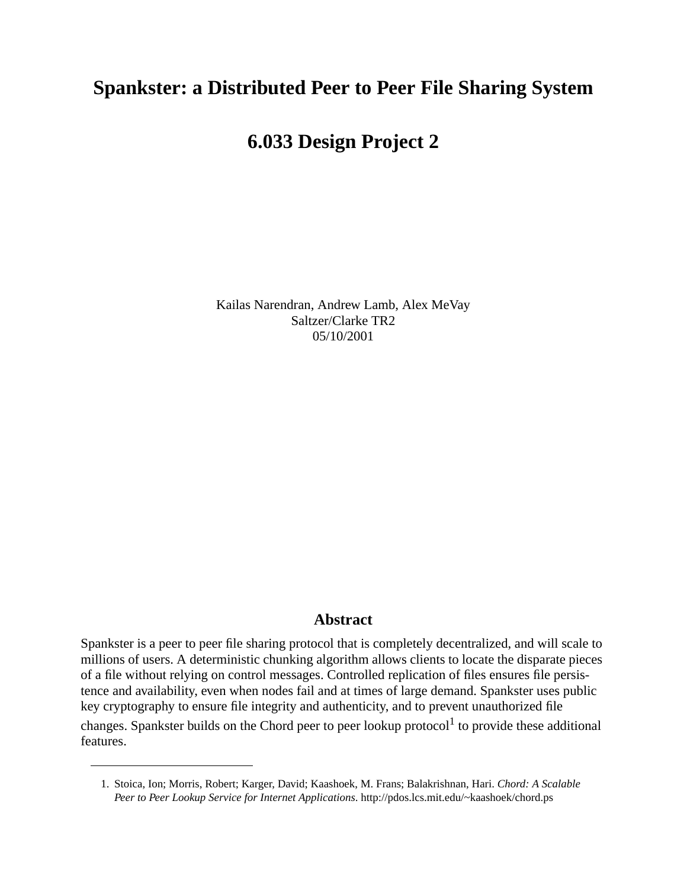# **Spankster: a Distributed Peer to Peer File Sharing System**

# **6.033 Design Project 2**

Kailas Narendran, Andrew Lamb, Alex MeVay Saltzer/Clarke TR2 05/10/2001

## **Abstract**

Spankster is a peer to peer file sharing protocol that is completely decentralized, and will scale to millions of users. A deterministic chunking algorithm allows clients to locate the disparate pieces of a file without relying on control messages. Controlled replication of files ensures file persistence and availability, even when nodes fail and at times of large demand. Spankster uses public key cryptography to ensure file integrity and authenticity, and to prevent unauthorized file changes. Spankster builds on the Chord peer to peer lookup protocol<sup>1</sup> to provide these additional features.

<sup>1.</sup> Stoica, Ion; Morris, Robert; Karger, David; Kaashoek, M. Frans; Balakrishnan, Hari. *Chord: A Scalable Peer to Peer Lookup Service for Internet Applications*. http://pdos.lcs.mit.edu/~kaashoek/chord.ps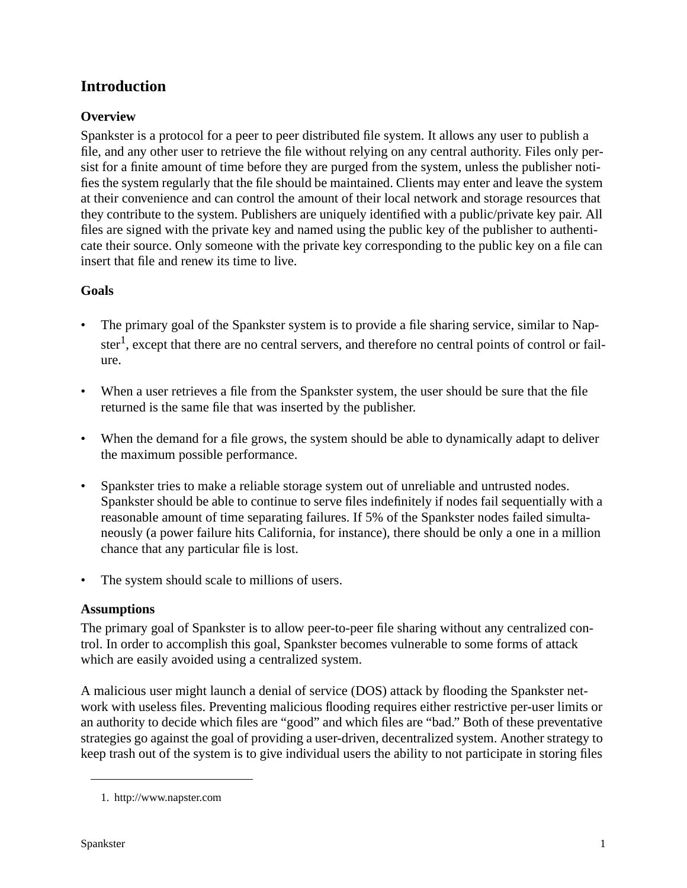## **Introduction**

## **Overview**

Spankster is a protocol for a peer to peer distributed file system. It allows any user to publish a file, and any other user to retrieve the file without relying on any central authority. Files only persist for a finite amount of time before they are purged from the system, unless the publisher notifies the system regularly that the file should be maintained. Clients may enter and leave the system at their convenience and can control the amount of their local network and storage resources that they contribute to the system. Publishers are uniquely identified with a public/private key pair. All files are signed with the private key and named using the public key of the publisher to authenticate their source. Only someone with the private key corresponding to the public key on a file can insert that file and renew its time to live.

## **Goals**

- The primary goal of the Spankster system is to provide a file sharing service, similar to Napster<sup>1</sup>, except that there are no central servers, and therefore no central points of control or failure.
- When a user retrieves a file from the Spankster system, the user should be sure that the file returned is the same file that was inserted by the publisher.
- When the demand for a file grows, the system should be able to dynamically adapt to deliver the maximum possible performance.
- Spankster tries to make a reliable storage system out of unreliable and untrusted nodes. Spankster should be able to continue to serve files indefinitely if nodes fail sequentially with a reasonable amount of time separating failures. If 5% of the Spankster nodes failed simultaneously (a power failure hits California, for instance), there should be only a one in a million chance that any particular file is lost.
- The system should scale to millions of users.

## **Assumptions**

The primary goal of Spankster is to allow peer-to-peer file sharing without any centralized control. In order to accomplish this goal, Spankster becomes vulnerable to some forms of attack which are easily avoided using a centralized system.

A malicious user might launch a denial of service (DOS) attack by flooding the Spankster network with useless files. Preventing malicious flooding requires either restrictive per-user limits or an authority to decide which files are "good" and which files are "bad." Both of these preventative strategies go against the goal of providing a user-driven, decentralized system. Another strategy to keep trash out of the system is to give individual users the ability to not participate in storing files

<sup>1.</sup> http://www.napster.com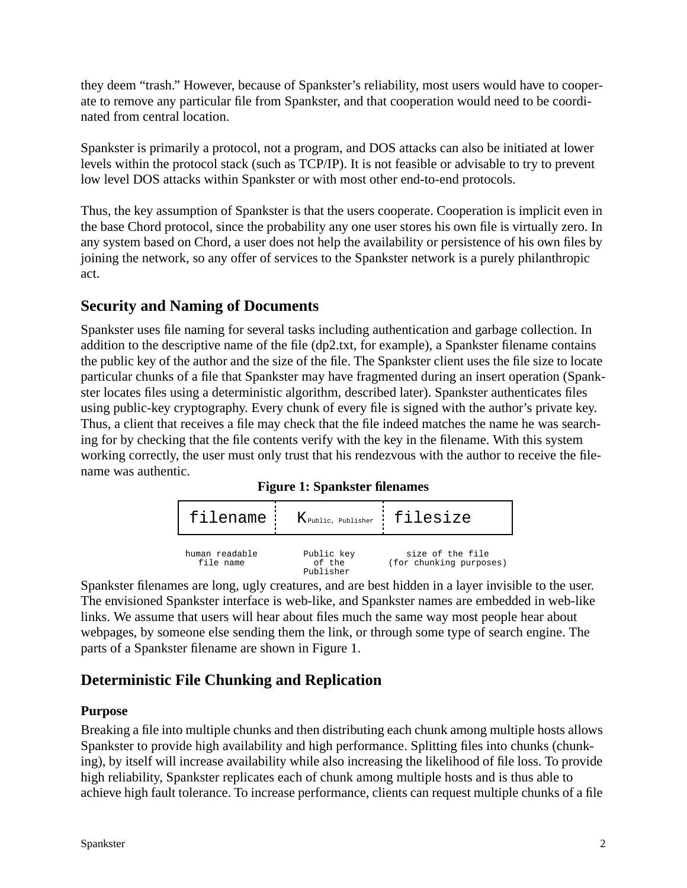they deem "trash." However, because of Spankster's reliability, most users would have to cooperate to remove any particular file from Spankster, and that cooperation would need to be coordinated from central location.

Spankster is primarily a protocol, not a program, and DOS attacks can also be initiated at lower levels within the protocol stack (such as TCP/IP). It is not feasible or advisable to try to prevent low level DOS attacks within Spankster or with most other end-to-end protocols.

Thus, the key assumption of Spankster is that the users cooperate. Cooperation is implicit even in the base Chord protocol, since the probability any one user stores his own file is virtually zero. In any system based on Chord, a user does not help the availability or persistence of his own files by joining the network, so any offer of services to the Spankster network is a purely philanthropic act.

## **Security and Naming of Documents**

Spankster uses file naming for several tasks including authentication and garbage collection. In addition to the descriptive name of the file (dp2.txt, for example), a Spankster filename contains the public key of the author and the size of the file. The Spankster client uses the file size to locate particular chunks of a file that Spankster may have fragmented during an insert operation (Spankster locates files using a deterministic algorithm, described later). Spankster authenticates files using public-key cryptography. Every chunk of every file is signed with the author's private key. Thus, a client that receives a file may check that the file indeed matches the name he was searching for by checking that the file contents verify with the key in the filename. With this system working correctly, the user must only trust that his rendezvous with the author to receive the filename was authentic.

**Figure 1: Spankster filenames**

|                             | filename K Public, Publisher : filesize |                                             |
|-----------------------------|-----------------------------------------|---------------------------------------------|
| human readable<br>file name | Public key<br>of the<br>Publisher       | size of the file<br>(for chunking purposes) |

Spankster filenames are long, ugly creatures, and are best hidden in a layer invisible to the user. The envisioned Spankster interface is web-like, and Spankster names are embedded in web-like links. We assume that users will hear about files much the same way most people hear about webpages, by someone else sending them the link, or through some type of search engine. The parts of a Spankster filename are shown in Figure 1.

## **Deterministic File Chunking and Replication**

## **Purpose**

Breaking a file into multiple chunks and then distributing each chunk among multiple hosts allows Spankster to provide high availability and high performance. Splitting files into chunks (chunking), by itself will increase availability while also increasing the likelihood of file loss. To provide high reliability, Spankster replicates each of chunk among multiple hosts and is thus able to achieve high fault tolerance. To increase performance, clients can request multiple chunks of a file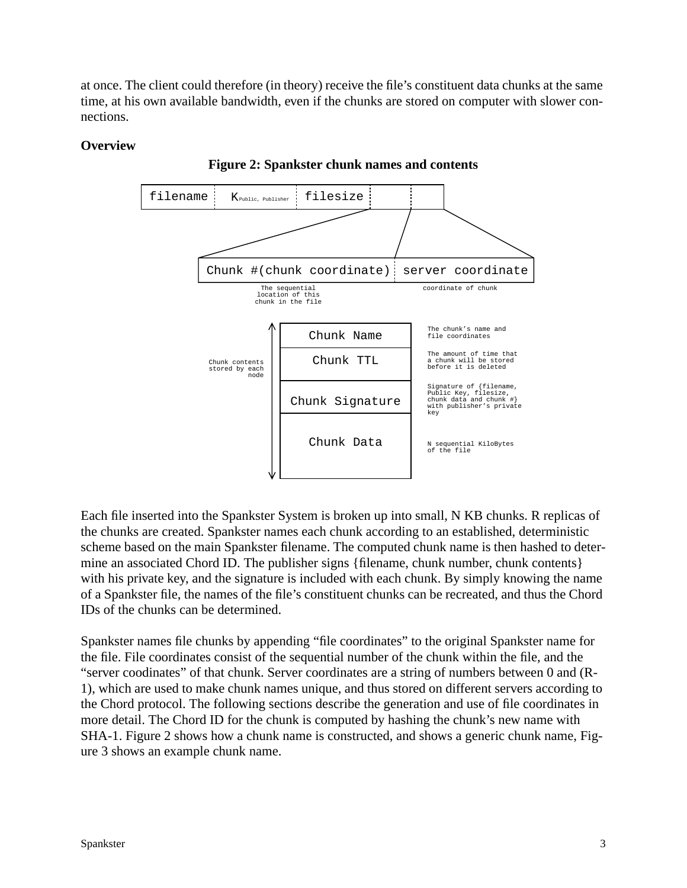at once. The client could therefore (in theory) receive the file's constituent data chunks at the same time, at his own available bandwidth, even if the chunks are stored on computer with slower connections.

#### **Overview**



**Figure 2: Spankster chunk names and contents**

Each file inserted into the Spankster System is broken up into small, N KB chunks. R replicas of the chunks are created. Spankster names each chunk according to an established, deterministic scheme based on the main Spankster filename. The computed chunk name is then hashed to determine an associated Chord ID. The publisher signs {filename, chunk number, chunk contents} with his private key, and the signature is included with each chunk. By simply knowing the name of a Spankster file, the names of the file's constituent chunks can be recreated, and thus the Chord IDs of the chunks can be determined.

Spankster names file chunks by appending "file coordinates" to the original Spankster name for the file. File coordinates consist of the sequential number of the chunk within the file, and the "server coodinates" of that chunk. Server coordinates are a string of numbers between 0 and (R-1), which are used to make chunk names unique, and thus stored on different servers according to the Chord protocol. The following sections describe the generation and use of file coordinates in more detail. The Chord ID for the chunk is computed by hashing the chunk's new name with SHA-1. Figure 2 shows how a chunk name is constructed, and shows a generic chunk name, Figure 3 shows an example chunk name.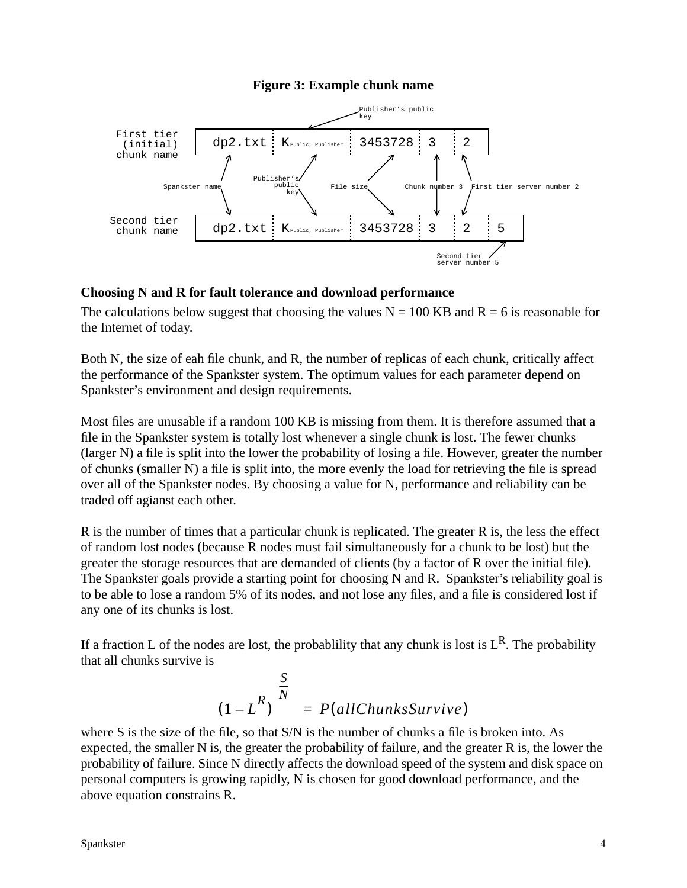#### **Figure 3: Example chunk name**



#### **Choosing N and R for fault tolerance and download performance**

The calculations below suggest that choosing the values  $N = 100$  KB and  $R = 6$  is reasonable for the Internet of today.

Both N, the size of eah file chunk, and R, the number of replicas of each chunk, critically affect the performance of the Spankster system. The optimum values for each parameter depend on Spankster's environment and design requirements.

Most files are unusable if a random 100 KB is missing from them. It is therefore assumed that a file in the Spankster system is totally lost whenever a single chunk is lost. The fewer chunks (larger N) a file is split into the lower the probability of losing a file. However, greater the number of chunks (smaller N) a file is split into, the more evenly the load for retrieving the file is spread over all of the Spankster nodes. By choosing a value for N, performance and reliability can be traded off agianst each other.

R is the number of times that a particular chunk is replicated. The greater R is, the less the effect of random lost nodes (because R nodes must fail simultaneously for a chunk to be lost) but the greater the storage resources that are demanded of clients (by a factor of R over the initial file). The Spankster goals provide a starting point for choosing N and R. Spankster's reliability goal is to be able to lose a random 5% of its nodes, and not lose any files, and a file is considered lost if any one of its chunks is lost.

If a fraction L of the nodes are lost, the probability that any chunk is lost is  $L^R$ . The probability that all chunks survive is

$$
(1 - LR) \frac{{\binom{S}{N}}}{P} = P(allChunksSurvive)
$$

where S is the size of the file, so that S/N is the number of chunks a file is broken into. As expected, the smaller N is, the greater the probability of failure, and the greater R is, the lower the probability of failure. Since N directly affects the download speed of the system and disk space on personal computers is growing rapidly, N is chosen for good download performance, and the above equation constrains R.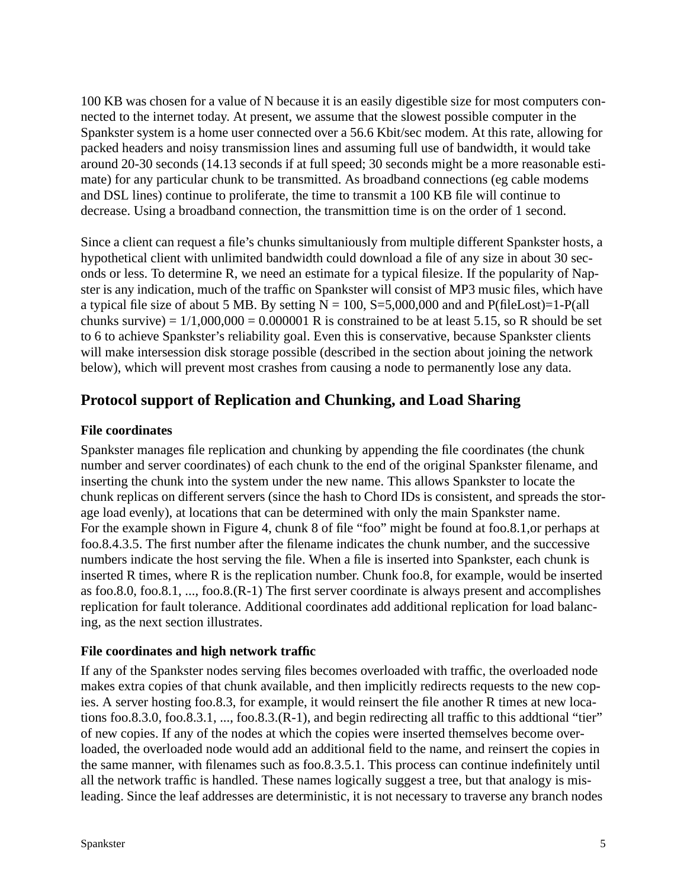100 KB was chosen for a value of N because it is an easily digestible size for most computers connected to the internet today. At present, we assume that the slowest possible computer in the Spankster system is a home user connected over a 56.6 Kbit/sec modem. At this rate, allowing for packed headers and noisy transmission lines and assuming full use of bandwidth, it would take around 20-30 seconds (14.13 seconds if at full speed; 30 seconds might be a more reasonable estimate) for any particular chunk to be transmitted. As broadband connections (eg cable modems and DSL lines) continue to proliferate, the time to transmit a 100 KB file will continue to decrease. Using a broadband connection, the transmittion time is on the order of 1 second.

Since a client can request a file's chunks simultaniously from multiple different Spankster hosts, a hypothetical client with unlimited bandwidth could download a file of any size in about 30 seconds or less. To determine R, we need an estimate for a typical filesize. If the popularity of Napster is any indication, much of the traffic on Spankster will consist of MP3 music files, which have a typical file size of about 5 MB. By setting  $N = 100$ , S=5,000,000 and and P(fileLost)=1-P(all chunks survive) =  $1/1,000,000 = 0.000001$  R is constrained to be at least 5.15, so R should be set to 6 to achieve Spankster's reliability goal. Even this is conservative, because Spankster clients will make intersession disk storage possible (described in the section about joining the network below), which will prevent most crashes from causing a node to permanently lose any data.

## **Protocol support of Replication and Chunking, and Load Sharing**

## **File coordinates**

Spankster manages file replication and chunking by appending the file coordinates (the chunk number and server coordinates) of each chunk to the end of the original Spankster filename, and inserting the chunk into the system under the new name. This allows Spankster to locate the chunk replicas on different servers (since the hash to Chord IDs is consistent, and spreads the storage load evenly), at locations that can be determined with only the main Spankster name. For the example shown in Figure 4, chunk 8 of file "foo" might be found at foo.8.1,or perhaps at foo.8.4.3.5. The first number after the filename indicates the chunk number, and the successive numbers indicate the host serving the file. When a file is inserted into Spankster, each chunk is inserted R times, where R is the replication number. Chunk foo.8, for example, would be inserted as foo.8.0, foo.8.1, ..., foo.8.(R-1) The first server coordinate is always present and accomplishes replication for fault tolerance. Additional coordinates add additional replication for load balancing, as the next section illustrates.

## **File coordinates and high network traffic**

If any of the Spankster nodes serving files becomes overloaded with traffic, the overloaded node makes extra copies of that chunk available, and then implicitly redirects requests to the new copies. A server hosting foo.8.3, for example, it would reinsert the file another R times at new locations foo.8.3.0, foo.8.3.1, ..., foo.8.3.(R-1), and begin redirecting all traffic to this addtional "tier" of new copies. If any of the nodes at which the copies were inserted themselves become overloaded, the overloaded node would add an additional field to the name, and reinsert the copies in the same manner, with filenames such as foo.8.3.5.1. This process can continue indefinitely until all the network traffic is handled. These names logically suggest a tree, but that analogy is misleading. Since the leaf addresses are deterministic, it is not necessary to traverse any branch nodes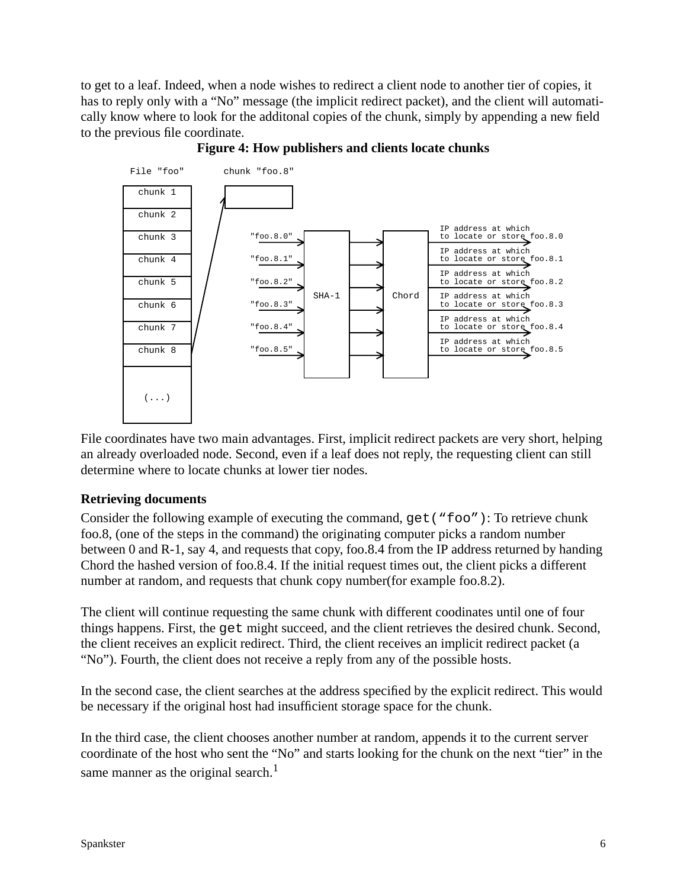to get to a leaf. Indeed, when a node wishes to redirect a client node to another tier of copies, it has to reply only with a "No" message (the implicit redirect packet), and the client will automatically know where to look for the additonal copies of the chunk, simply by appending a new field to the previous file coordinate.



**Figure 4: How publishers and clients locate chunks**

File coordinates have two main advantages. First, implicit redirect packets are very short, helping an already overloaded node. Second, even if a leaf does not reply, the requesting client can still determine where to locate chunks at lower tier nodes.

#### **Retrieving documents**

Consider the following example of executing the command, get ("foo"): To retrieve chunk foo.8, (one of the steps in the command) the originating computer picks a random number between 0 and R-1, say 4, and requests that copy, foo.8.4 from the IP address returned by handing Chord the hashed version of foo.8.4. If the initial request times out, the client picks a different number at random, and requests that chunk copy number(for example foo.8.2).

The client will continue requesting the same chunk with different coodinates until one of four things happens. First, the get might succeed, and the client retrieves the desired chunk. Second, the client receives an explicit redirect. Third, the client receives an implicit redirect packet (a "No"). Fourth, the client does not receive a reply from any of the possible hosts.

In the second case, the client searches at the address specified by the explicit redirect. This would be necessary if the original host had insufficient storage space for the chunk.

In the third case, the client chooses another number at random, appends it to the current server coordinate of the host who sent the "No" and starts looking for the chunk on the next "tier" in the same manner as the original search. $<sup>1</sup>$ </sup>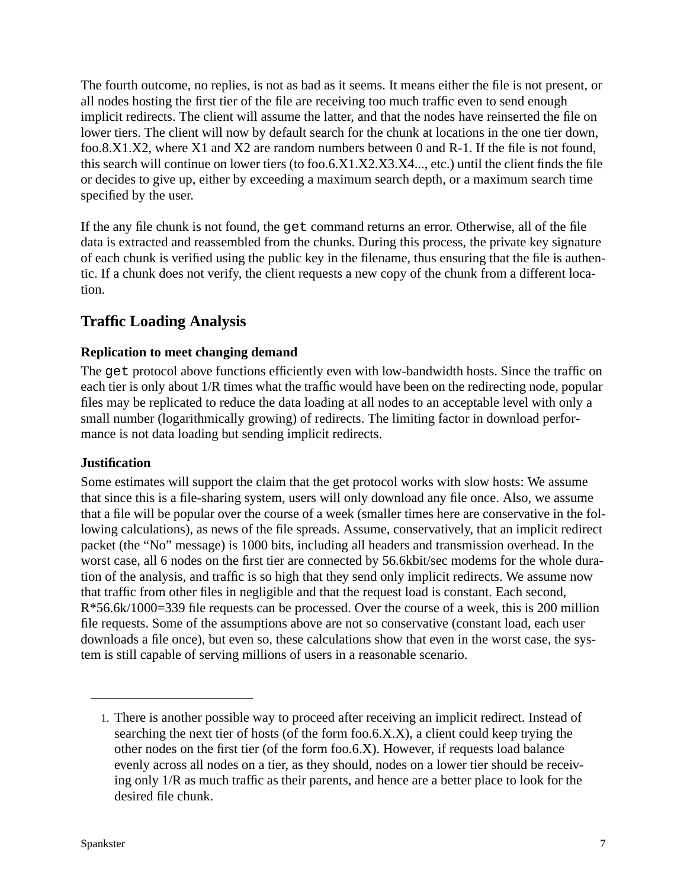The fourth outcome, no replies, is not as bad as it seems. It means either the file is not present, or all nodes hosting the first tier of the file are receiving too much traffic even to send enough implicit redirects. The client will assume the latter, and that the nodes have reinserted the file on lower tiers. The client will now by default search for the chunk at locations in the one tier down, foo.8.X1.X2, where X1 and X2 are random numbers between 0 and R-1. If the file is not found, this search will continue on lower tiers (to foo.6.X1.X2.X3.X4..., etc.) until the client finds the file or decides to give up, either by exceeding a maximum search depth, or a maximum search time specified by the user.

If the any file chunk is not found, the get command returns an error. Otherwise, all of the file data is extracted and reassembled from the chunks. During this process, the private key signature of each chunk is verified using the public key in the filename, thus ensuring that the file is authentic. If a chunk does not verify, the client requests a new copy of the chunk from a different location.

## **Traffic Loading Analysis**

#### **Replication to meet changing demand**

The get protocol above functions efficiently even with low-bandwidth hosts. Since the traffic on each tier is only about 1/R times what the traffic would have been on the redirecting node, popular files may be replicated to reduce the data loading at all nodes to an acceptable level with only a small number (logarithmically growing) of redirects. The limiting factor in download performance is not data loading but sending implicit redirects.

#### **Justification**

Some estimates will support the claim that the get protocol works with slow hosts: We assume that since this is a file-sharing system, users will only download any file once. Also, we assume that a file will be popular over the course of a week (smaller times here are conservative in the following calculations), as news of the file spreads. Assume, conservatively, that an implicit redirect packet (the "No" message) is 1000 bits, including all headers and transmission overhead. In the worst case, all 6 nodes on the first tier are connected by 56.6kbit/sec modems for the whole duration of the analysis, and traffic is so high that they send only implicit redirects. We assume now that traffic from other files in negligible and that the request load is constant. Each second, R\*56.6k/1000=339 file requests can be processed. Over the course of a week, this is 200 million file requests. Some of the assumptions above are not so conservative (constant load, each user downloads a file once), but even so, these calculations show that even in the worst case, the system is still capable of serving millions of users in a reasonable scenario.

<sup>1.</sup> There is another possible way to proceed after receiving an implicit redirect. Instead of searching the next tier of hosts (of the form foo.6.X.X), a client could keep trying the other nodes on the first tier (of the form foo.6.X). However, if requests load balance evenly across all nodes on a tier, as they should, nodes on a lower tier should be receiving only 1/R as much traffic as their parents, and hence are a better place to look for the desired file chunk.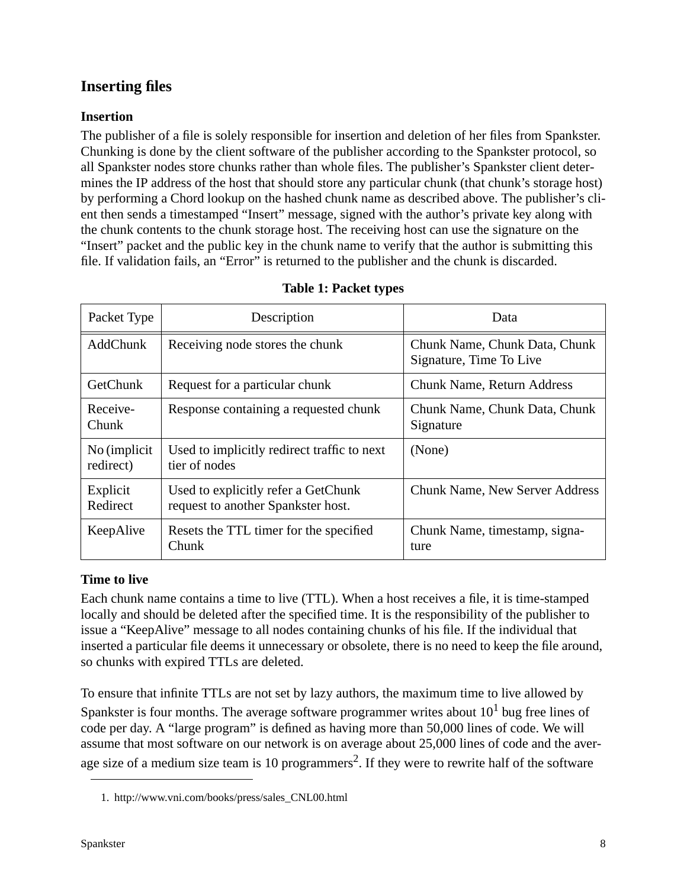## **Inserting files**

## **Insertion**

The publisher of a file is solely responsible for insertion and deletion of her files from Spankster. Chunking is done by the client software of the publisher according to the Spankster protocol, so all Spankster nodes store chunks rather than whole files. The publisher's Spankster client determines the IP address of the host that should store any particular chunk (that chunk's storage host) by performing a Chord lookup on the hashed chunk name as described above. The publisher's client then sends a timestamped "Insert" message, signed with the author's private key along with the chunk contents to the chunk storage host. The receiving host can use the signature on the "Insert" packet and the public key in the chunk name to verify that the author is submitting this file. If validation fails, an "Error" is returned to the publisher and the chunk is discarded.

| Packet Type                | Description                                                               | Data                                                     |
|----------------------------|---------------------------------------------------------------------------|----------------------------------------------------------|
| <b>AddChunk</b>            | Receiving node stores the chunk                                           | Chunk Name, Chunk Data, Chunk<br>Signature, Time To Live |
| GetChunk                   | Request for a particular chunk                                            | <b>Chunk Name, Return Address</b>                        |
| Receive-<br>Chunk          | Response containing a requested chunk                                     | Chunk Name, Chunk Data, Chunk<br>Signature               |
| No (implicit)<br>redirect) | Used to implicitly redirect traffic to next<br>tier of nodes              | (None)                                                   |
| Explicit<br>Redirect       | Used to explicitly refer a GetChunk<br>request to another Spankster host. | <b>Chunk Name, New Server Address</b>                    |
| KeepAlive                  | Resets the TTL timer for the specified<br>Chunk                           | Chunk Name, timestamp, signa-<br>ture                    |

#### **Table 1: Packet types**

## **Time to live**

Each chunk name contains a time to live (TTL). When a host receives a file, it is time-stamped locally and should be deleted after the specified time. It is the responsibility of the publisher to issue a "KeepAlive" message to all nodes containing chunks of his file. If the individual that inserted a particular file deems it unnecessary or obsolete, there is no need to keep the file around, so chunks with expired TTLs are deleted.

To ensure that infinite TTLs are not set by lazy authors, the maximum time to live allowed by Spankster is four months. The average software programmer writes about  $10<sup>1</sup>$  bug free lines of code per day. A "large program" is defined as having more than 50,000 lines of code. We will assume that most software on our network is on average about 25,000 lines of code and the average size of a medium size team is 10 programmers<sup>2</sup>. If they were to rewrite half of the software

<sup>1.</sup> http://www.vni.com/books/press/sales\_CNL00.html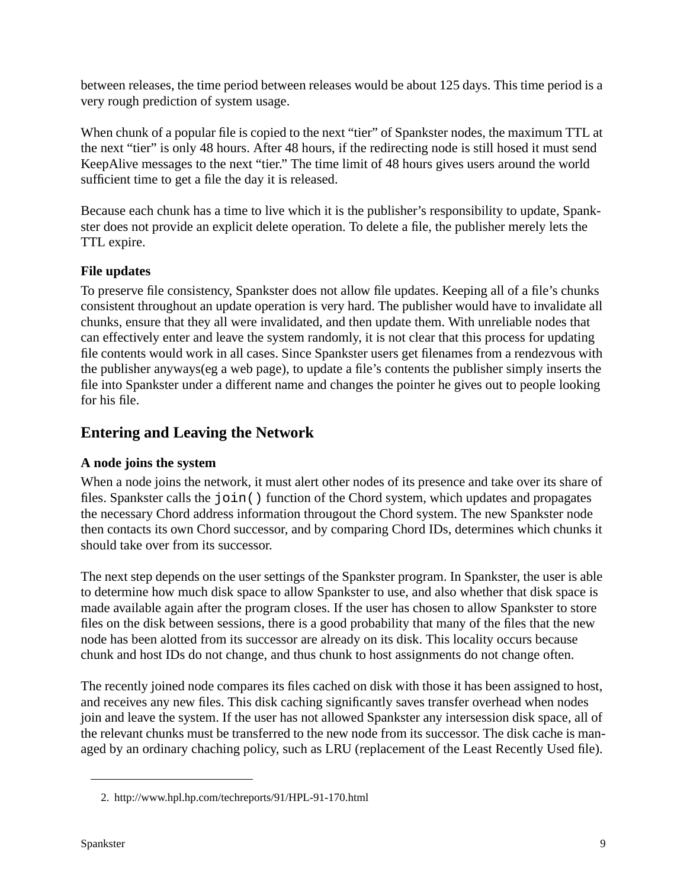between releases, the time period between releases would be about 125 days. This time period is a very rough prediction of system usage.

When chunk of a popular file is copied to the next "tier" of Spankster nodes, the maximum TTL at the next "tier" is only 48 hours. After 48 hours, if the redirecting node is still hosed it must send KeepAlive messages to the next "tier." The time limit of 48 hours gives users around the world sufficient time to get a file the day it is released.

Because each chunk has a time to live which it is the publisher's responsibility to update, Spankster does not provide an explicit delete operation. To delete a file, the publisher merely lets the TTL expire.

## **File updates**

To preserve file consistency, Spankster does not allow file updates. Keeping all of a file's chunks consistent throughout an update operation is very hard. The publisher would have to invalidate all chunks, ensure that they all were invalidated, and then update them. With unreliable nodes that can effectively enter and leave the system randomly, it is not clear that this process for updating file contents would work in all cases. Since Spankster users get filenames from a rendezvous with the publisher anyways(eg a web page), to update a file's contents the publisher simply inserts the file into Spankster under a different name and changes the pointer he gives out to people looking for his file.

## **Entering and Leaving the Network**

#### **A node joins the system**

When a node joins the network, it must alert other nodes of its presence and take over its share of files. Spankster calls the join() function of the Chord system, which updates and propagates the necessary Chord address information througout the Chord system. The new Spankster node then contacts its own Chord successor, and by comparing Chord IDs, determines which chunks it should take over from its successor.

The next step depends on the user settings of the Spankster program. In Spankster, the user is able to determine how much disk space to allow Spankster to use, and also whether that disk space is made available again after the program closes. If the user has chosen to allow Spankster to store files on the disk between sessions, there is a good probability that many of the files that the new node has been alotted from its successor are already on its disk. This locality occurs because chunk and host IDs do not change, and thus chunk to host assignments do not change often.

The recently joined node compares its files cached on disk with those it has been assigned to host, and receives any new files. This disk caching significantly saves transfer overhead when nodes join and leave the system. If the user has not allowed Spankster any intersession disk space, all of the relevant chunks must be transferred to the new node from its successor. The disk cache is managed by an ordinary chaching policy, such as LRU (replacement of the Least Recently Used file).

<sup>2.</sup> http://www.hpl.hp.com/techreports/91/HPL-91-170.html